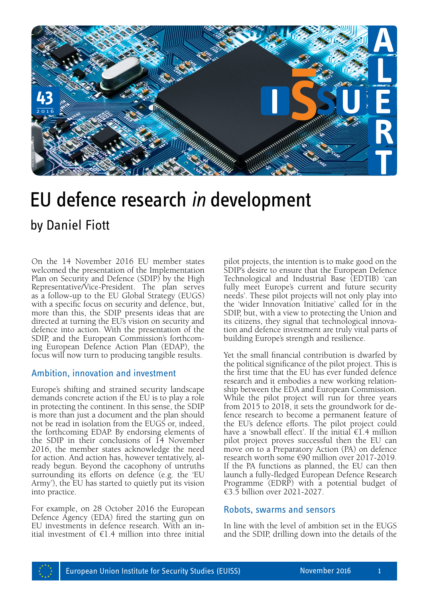

# EU defence research *in* development

On the 14 November 2016 EU member states welcomed the presentation of the Implementation Plan on Security and Defence (SDIP) by the High Representative/Vice-President. The plan serves as a follow-up to the EU Global Strategy (EUGS) with a specific focus on security and defence, but, more than this, the SDIP presents ideas that are directed at turning the EU's vision on security and defence into action. With the presentation of the SDIP, and the European Commission's forthcoming European Defence Action Plan (EDAP), the focus will now turn to producing tangible results.

### Ambition, innovation and investment

Europe's shifting and strained security landscape demands concrete action if the EU is to play a role in protecting the continent. In this sense, the SDIP is more than just a document and the plan should not be read in isolation from the EUGS or, indeed, the forthcoming EDAP. By endorsing elements of the SDIP in their conclusions of 14 November 2016, the member states acknowledge the need for action. And action has, however tentatively, already begun. Beyond the cacophony of untruths surrounding its efforts on defence (e.g. the 'EU Army'), the EU has started to quietly put its vision into practice.

For example, on 28 October 2016 the European Defence Agency (EDA) fired the starting gun on EU investments in defence research. With an initial investment of  $f{1.4}$  million into three initial

pilot projects, the intention is to make good on the SDIP's desire to ensure that the European Defence Technological and Industrial Base (EDTIB) 'can fully meet Europe's current and future security needs'. These pilot projects will not only play into the 'wider Innovation Initiative' called for in the SDIP, but, with a view to protecting the Union and its citizens, they signal that technological innovation and defence investment are truly vital parts of building Europe's strength and resilience.

Yet the small financial contribution is dwarfed by the political significance of the pilot project. This is the first time that the EU has ever funded defence research and it embodies a new working relationship between the EDA and European Commission. While the pilot project will run for three years from 2015 to 2018, it sets the groundwork for de- fence research to become a permanent feature of the EU's defence efforts. The pilot project could have a 'snowball effect'. If the initial  $\epsilon$ 1.4 million pilot project proves successful then the EU can move on to a Preparatory Action (PA) on defence research worth some €90 million over 2017-2019. If the PA functions as planned, the EU can then launch a fully-fledged European Defence Research Programme (EDRP) with a potential budget of €3.5 billion over 2021-2027.

#### Robots, swarms and sensors

In line with the level of ambition set in the EUGS and the SDIP, drilling down into the details of the